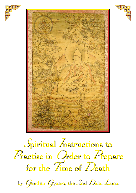





*<sup>S</sup>*piritual *I*nstructions to *<sup>S</sup>*piritual *I*nstructions to *<sup>S</sup>*piritual *I*nstructions to *<sup>P</sup>*ractise in *O*rder to *P*repare *<sup>P</sup>*ractise in *O*rder to *P*repare *<sup>P</sup>*ractise in *O*rder to *P*repare for the *T*ime of *D*eath for the *T*ime of *D*eath for the *T*ime of *D*eath

by *<sup>G</sup>*endün *G*yatso, the *2*nd *D*alai *L*ama by *<sup>G</sup>*endün *G*yatso, the *2*nd *D*alai *L*ama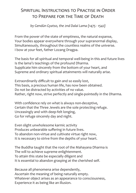## Spiritual Instructions to Practise in Order to Prepare for the Time of Death

*by Gendün Gyatso, the 2nd Dalai Lama {1475 - 1542}*

From the power of the state of emptiness, the natural expanse, Your bodies appear everywhere through your supranormal display, Simultaneously, throughout the countless realms of the universe. I bow at your feet, father Lozang Dragpa.

The basis for all spiritual and temporal well-being in this and future lives Is the lama's teachings of the profound Dharma. Supplicate him sincerely from the bottom of your heart, and Supreme and ordinary spiritual attainments will naturally arise.

Extraordinarily difficult to gain and so easily lost, This basis, a precious human life, has now been obtained. Do not be distracted by activities of no value. Rather, right now, strive perfectly and single-pointedly in the Dharma.

With confidence rely on what is always non-deceptive, Certain that the Three Jewels are the sole protecting refuge. Unceasingly and with deep-felt longing, Go for refuge sincerely day and night.

Even slight unwholesome karmic activity Produces unbearable suffering in future lives. To abandon non-virtue and cultivate virtue right now, It is necessary to strive from the depths of your heart.

The Buddha taught that the root of the Mahayana Dharma is The will to achieve supreme enlightenment. To attain this state be especially diligent and It is essential to abandon grasping at the cherished self.

Because all phenomena arise dependently, Ascertain the meaning of being naturally empty. Whatever object arises as an appearance to consciousness, Experience it as being like an illusion.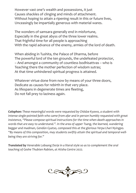However vast one's wealth and possessions, it just Causes shackles of clinging and minds of attachment. Without hoping to attain a ripening result in this or future lives, Unceasingly be impartially generous with material wares.

The wonders of samsara generally end in misfortune, Especially in the great abyss of the three lower realms. That frightful time for all people is approaching With the rapid advance of the enemy, armies of the lord of death.

When abiding in Tushita, the Palace of Dharma, before The powerful lord of the ten grounds, the undefeated protector, – And amongst a community of countless bodhisattvas – who is Teaching there the mother perfection of wisdom sutras; At that time unhindered spiritual progress is attained.

Whatever virtue done from now by means of your three doors, Dedicate as causes for rebirth in that very place. As lifespans in degenerate times are fleeting, Do not fall prey to laziness again.

*Colophon: These meaningful words were requested by Chödze Kyawo, a student with intense single-pointed faith who came from afar and in person humbly requested with great insistence, "Please compose spiritual instructions for the time when death approaches in words that are easy to understand.". In the area of upper Tsang, the learned, wandering beggar and madman, Gendün Gyatso, composed this at the glorious Yerpa Lhari Nyingpo. "By means of this composition, may students swiftly attain the spiritual and temporal wellbeing they are striving for."*

*Translated by Venerable Lobsang Dorje in a literal style so as to complement the oral teaching of Geshe Thubten Rabten, at Atisha Centre 2022.*